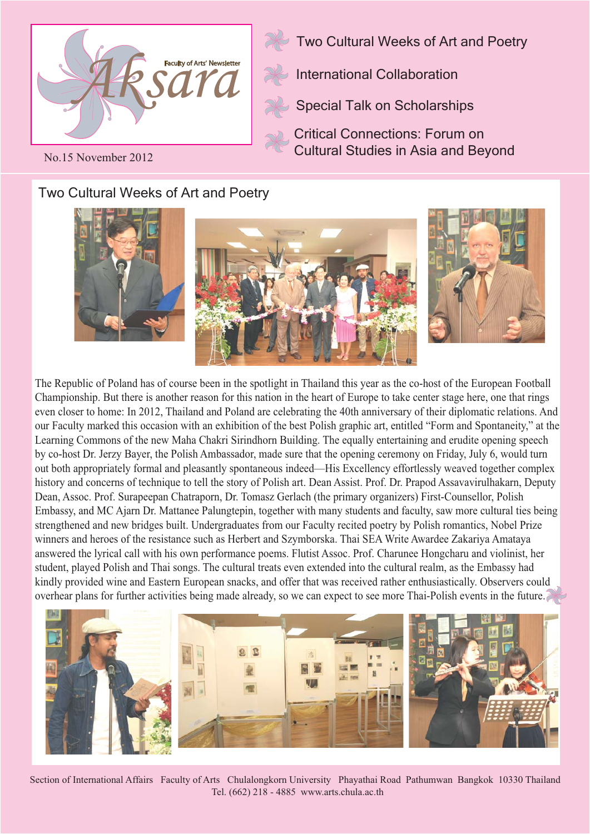

Two Cultural Weeks of Art and Poetry

International Collaboration

Special Talk on Scholarships

Critical Connections: Forum on Cultural Studies in Asia and Beyond

No.15 November 2012

## Two Cultural Weeks of Art and Poetry



The Republic of Poland has of course been in the spotlight in Thailand this year as the co-host of the European Football Championship. But there is another reason for this nation in the heart of Europe to take center stage here, one that rings even closer to home: In 2012, Thailand and Poland are celebrating the 40th anniversary of their diplomatic relations. And our Faculty marked this occasion with an exhibition of the best Polish graphic art, entitled "Form and Spontaneity," at the Learning Commons of the new Maha Chakri Sirindhorn Building. The equally entertaining and erudite opening speech by co-host Dr. Jerzy Bayer, the Polish Ambassador, made sure that the opening ceremony on Friday, July 6, would turn out both appropriately formal and pleasantly spontaneous indeed—His Excellency effortlessly weaved together complex history and concerns of technique to tell the story of Polish art. Dean Assist. Prof. Dr. Prapod Assavavirulhakarn, Deputy Dean, Assoc. Prof. Surapeepan Chatraporn, Dr. Tomasz Gerlach (the primary organizers) First-Counsellor, Polish Embassy, and MC Ajarn Dr. Mattanee Palungtepin, together with many students and faculty, saw more cultural ties being strengthened and new bridges built. Undergraduates from our Faculty recited poetry by Polish romantics, Nobel Prize winners and heroes of the resistance such as Herbert and Szymborska. Thai SEA Write Awardee Zakariya Amataya answered the lyrical call with his own performance poems. Flutist Assoc. Prof. Charunee Hongcharu and violinist, her student, played Polish and Thai songs. The cultural treats even extended into the cultural realm, as the Embassy had kindly provided wine and Eastern European snacks, and offer that was received rather enthusiastically. Observers could overhear plans for further activities being made already, so we can expect to see more Thai-Polish events in the future.



Section of International Affairs Faculty of Arts Chulalongkorn University Phayathai Road Pathumwan Bangkok 10330 Thailand Tel. (662) 218 - 4885 www.arts.chula.ac.th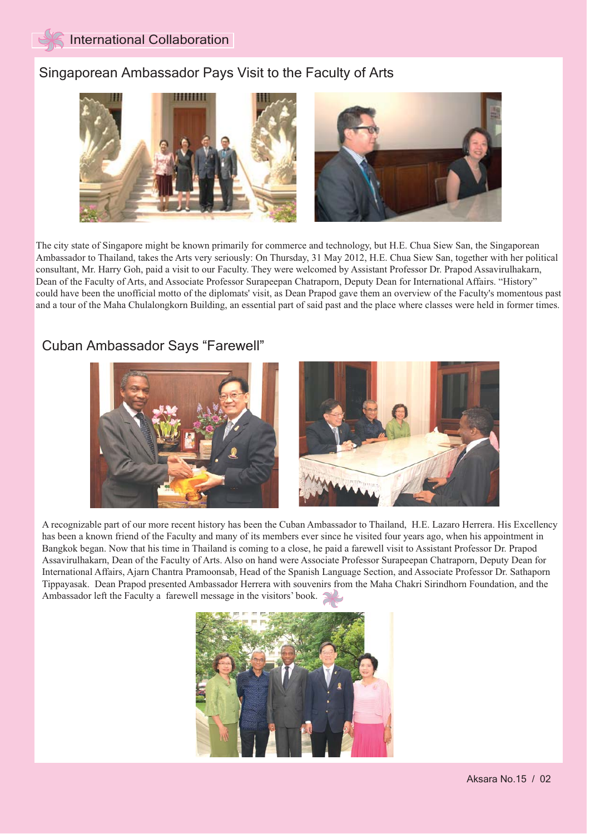#### Singaporean Ambassador Pays Visit to the Faculty of Arts



The city state of Singapore might be known primarily for commerce and technology, but H.E. Chua Siew San, the Singaporean Ambassador to Thailand, takes the Arts very seriously: On Thursday, 31 May 2012, H.E. Chua Siew San, together with her political consultant, Mr. Harry Goh, paid a visit to our Faculty. They were welcomed by Assistant Professor Dr. Prapod Assavirulhakarn, Dean of the Faculty of Arts, and Associate Professor Surapeepan Chatraporn, Deputy Dean for International Affairs. "History" could have been the unofficial motto of the diplomats' visit, as Dean Prapod gave them an overview of the Faculty's momentous past and a tour of the Maha Chulalongkorn Building, an essential part of said past and the place where classes were held in former times.

### Cuban Ambassador Says "Farewell"



A recognizable part of our more recent history has been the Cuban Ambassador to Thailand, H.E. Lazaro Herrera. His Excellency has been a known friend of the Faculty and many of its members ever since he visited four years ago, when his appointment in Bangkok began. Now that his time in Thailand is coming to a close, he paid a farewell visit to Assistant Professor Dr. Prapod Assavirulhakarn, Dean of the Faculty of Arts. Also on hand were Associate Professor Surapeepan Chatraporn, Deputy Dean for International Affairs, Ajarn Chantra Pramoonsab, Head of the Spanish Language Section, and Associate Professor Dr. Sathaporn Tippayasak. Dean Prapod presented Ambassador Herrera with souvenirs from the Maha Chakri Sirindhorn Foundation, and the Ambassador left the Faculty a farewell message in the visitors' book.

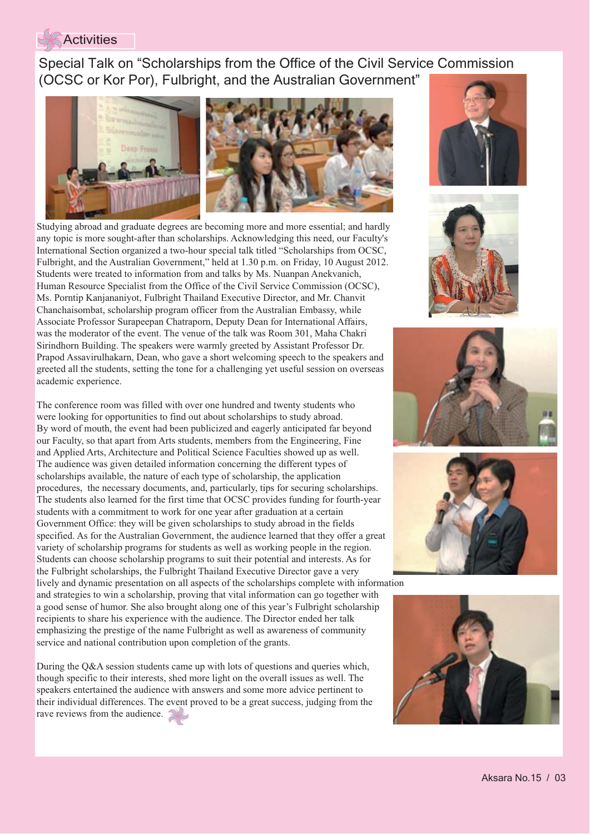#### **Activities**

 Special Talk on "Scholarships from the Office of the Civil Service Commission (OCSC or Kor Por), Fulbright, and the Australian Government"



Studying abroad and graduate degrees are becoming more and more essential; and hardly any topic is more sought-after than scholarships. Acknowledging this need, our Faculty's International Section organized a two-hour special talk titled "Scholarships from OCSC, Fulbright, and the Australian Government," held at 1.30 p.m. on Friday, 10 August 2012. Students were treated to information from and talks by Ms. Nuanpan Anekvanich, Human Resource Specialist from the Office of the Civil Service Commission (OCSC), Ms. Porntip Kanjananiyot, Fulbright Thailand Executive Director, and Mr. Chanvit Chanchaisombat, scholarship program officer from the Australian Embassy, while Associate Professor Surapeepan Chatraporn, Deputy Dean for International Affairs, was the moderator of the event. The venue of the talk was Room 301, Maha Chakri Sirindhorn Building. The speakers were warmly greeted by Assistant Professor Dr. Prapod Assavirulhakarn, Dean, who gave a short welcoming speech to the speakers and greeted all the students, setting the tone for a challenging yet useful session on overseas academic experience.

The conference room was filled with over one hundred and twenty students who were looking for opportunities to find out about scholarships to study abroad. By word of mouth, the event had been publicized and eagerly anticipated far beyond our Faculty, so that apart from Arts students, members from the Engineering, Fine and Applied Arts, Architecture and Political Science Faculties showed up as well. The audience was given detailed information concerning the different types of scholarships available, the nature of each type of scholarship, the application procedures, the necessary documents, and, particularly, tips for securing scholarships. The students also learned for the first time that OCSC provides funding for fourth-year students with a commitment to work for one year after graduation at a certain Government Office: they will be given scholarships to study abroad in the fields specified. As for the Australian Government, the audience learned that they offer a great variety of scholarship programs for students as well as working people in the region. Students can choose scholarship programs to suit their potential and interests. As for the Fulbright scholarships, the Fulbright Thailand Executive Director gave a very lively and dynamic presentation on all aspects of the scholarships complete with information and strategies to win a scholarship, proving that vital information can go together with a good sense of humor. She also brought along one of this year's Fulbright scholarship recipients to share his experience with the audience. The Director ended her talk emphasizing the prestige of the name Fulbright as well as awareness of community service and national contribution upon completion of the grants.

During the Q&A session students came up with lots of questions and queries which, though specific to their interests, shed more light on the overall issues as well. The speakers entertained the audience with answers and some more advice pertinent to their individual differences. The event proved to be a great success, judging from the rave reviews from the audience.









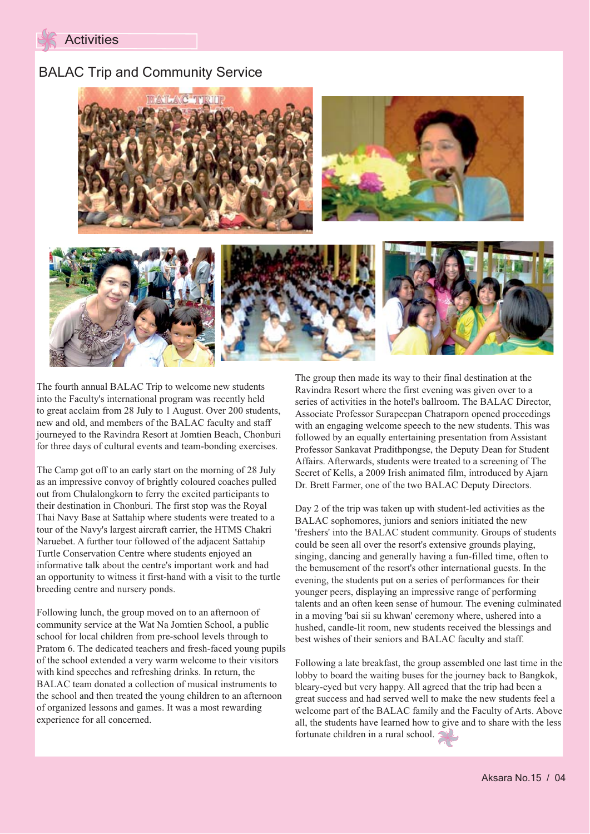

### BALAC Trip and Community Service



The fourth annual BALAC Trip to welcome new students into the Faculty's international program was recently held to great acclaim from 28 July to 1 August. Over 200 students, new and old, and members of the BALAC faculty and staff journeyed to the Ravindra Resort at Jomtien Beach, Chonburi for three days of cultural events and team-bonding exercises.

The Camp got off to an early start on the morning of 28 July as an impressive convoy of brightly coloured coaches pulled out from Chulalongkorn to ferry the excited participants to their destination in Chonburi. The first stop was the Royal Thai Navy Base at Sattahip where students were treated to a tour of the Navy's largest aircraft carrier, the HTMS Chakri Naruebet. A further tour followed of the adjacent Sattahip Turtle Conservation Centre where students enjoyed an informative talk about the centre's important work and had an opportunity to witness it first-hand with a visit to the turtle breeding centre and nursery ponds.

Following lunch, the group moved on to an afternoon of community service at the Wat Na Jomtien School, a public school for local children from pre-school levels through to Pratom 6. The dedicated teachers and fresh-faced young pupils of the school extended a very warm welcome to their visitors with kind speeches and refreshing drinks. In return, the BALAC team donated a collection of musical instruments to the school and then treated the young children to an afternoon of organized lessons and games. It was a most rewarding experience for all concerned.

The group then made its way to their final destination at the Ravindra Resort where the first evening was given over to a series of activities in the hotel's ballroom. The BALAC Director, Associate Professor Surapeepan Chatraporn opened proceedings with an engaging welcome speech to the new students. This was followed by an equally entertaining presentation from Assistant Professor Sankavat Pradithpongse, the Deputy Dean for Student Affairs. Afterwards, students were treated to a screening of The Secret of Kells, a 2009 Irish animated film, introduced by Ajarn Dr. Brett Farmer, one of the two BALAC Deputy Directors.

Day 2 of the trip was taken up with student-led activities as the BALAC sophomores, juniors and seniors initiated the new 'freshers' into the BALAC student community. Groups of students could be seen all over the resort's extensive grounds playing, singing, dancing and generally having a fun-filled time, often to the bemusement of the resort's other international guests. In the evening, the students put on a series of performances for their younger peers, displaying an impressive range of performing talents and an often keen sense of humour. The evening culminated in a moving 'bai sii su khwan' ceremony where, ushered into a hushed, candle-lit room, new students received the blessings and best wishes of their seniors and BALAC faculty and staff.

Following a late breakfast, the group assembled one last time in the lobby to board the waiting buses for the journey back to Bangkok, bleary-eyed but very happy. All agreed that the trip had been a great success and had served well to make the new students feel a welcome part of the BALAC family and the Faculty of Arts. Above all, the students have learned how to give and to share with the less fortunate children in a rural school.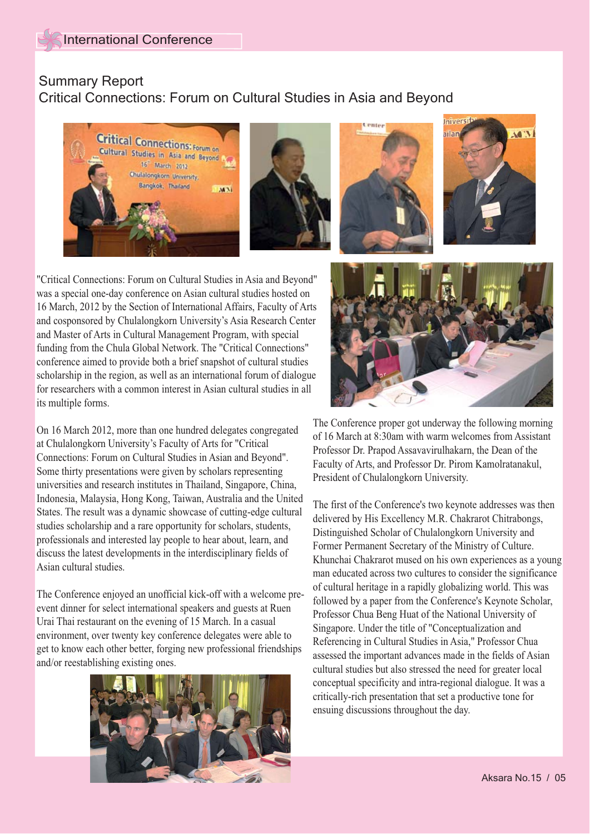# Summary Report

## Critical Connections: Forum on Cultural Studies in Asia and Beyond









"Critical Connections: Forum on Cultural Studies in Asia and Beyond" was a special one-day conference on Asian cultural studies hosted on 16 March, 2012 by the Section of International Affairs, Faculty of Arts and cosponsored by Chulalongkorn University's Asia Research Center and Master of Arts in Cultural Management Program, with special funding from the Chula Global Network. The "Critical Connections" conference aimed to provide both a brief snapshot of cultural studies scholarship in the region, as well as an international forum of dialogue for researchers with a common interest in Asian cultural studies in all its multiple forms.

On 16 March 2012, more than one hundred delegates congregated at Chulalongkorn University's Faculty of Arts for "Critical Connections: Forum on Cultural Studies in Asian and Beyond". Some thirty presentations were given by scholars representing universities and research institutes in Thailand, Singapore, China, Indonesia, Malaysia, Hong Kong, Taiwan, Australia and the United States. The result was a dynamic showcase of cutting-edge cultural studies scholarship and a rare opportunity for scholars, students, professionals and interested lay people to hear about, learn, and discuss the latest developments in the interdisciplinary fields of Asian cultural studies.

The Conference enjoyed an unofficial kick-off with a welcome preevent dinner for select international speakers and guests at Ruen Urai Thai restaurant on the evening of 15 March. In a casual environment, over twenty key conference delegates were able to get to know each other better, forging new professional friendships and/or reestablishing existing ones.





The Conference proper got underway the following morning of 16 March at 8:30am with warm welcomes from Assistant Professor Dr. Prapod Assavavirulhakarn, the Dean of the Faculty of Arts, and Professor Dr. Pirom Kamolratanakul, President of Chulalongkorn University.

The first of the Conference's two keynote addresses was then delivered by His Excellency M.R. Chakrarot Chitrabongs, Distinguished Scholar of Chulalongkorn University and Former Permanent Secretary of the Ministry of Culture. Khunchai Chakrarot mused on his own experiences as a young man educated across two cultures to consider the significance of cultural heritage in a rapidly globalizing world. This was followed by a paper from the Conference's Keynote Scholar, Professor Chua Beng Huat of the National University of Singapore. Under the title of "Conceptualization and Referencing in Cultural Studies in Asia," Professor Chua assessed the important advances made in the fields of Asian cultural studies but also stressed the need for greater local conceptual specificity and intra-regional dialogue. It was a critically-rich presentation that set a productive tone for ensuing discussions throughout the day.